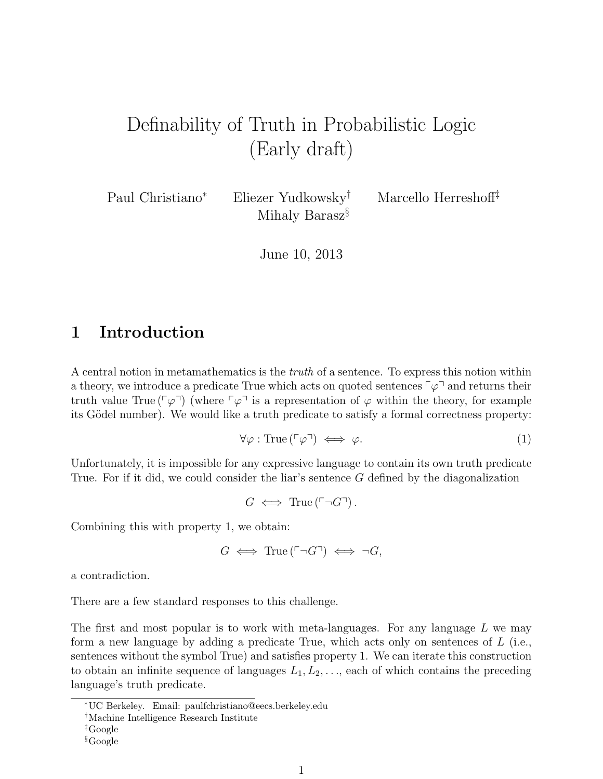# Definability of Truth in Probabilistic Logic (Early draft)

Paul Christiano<sup>∗</sup> Eliezer Yudkowsky† Marcello Herreshoff‡ Mihaly Barasz§

June 10, 2013

## 1 Introduction

A central notion in metamathematics is the truth of a sentence. To express this notion within a theory, we introduce a predicate True which acts on quoted sentences  $\lceil \varphi \rceil$  and returns their truth value True ( $\lceil \varphi \rceil$ ) (where  $\lceil \varphi \rceil$  is a representation of  $\varphi$  within the theory, for example its Gödel number). We would like a truth predicate to satisfy a formal correctness property:

$$
\forall \varphi : \text{True} (\ulcorner \varphi \urcorner) \iff \varphi. \tag{1}
$$

Unfortunately, it is impossible for any expressive language to contain its own truth predicate True. For if it did, we could consider the liar's sentence G defined by the diagonalization

 $G \iff \text{True} (\ulcorner \neg G \urcorner).$ 

Combining this with property 1, we obtain:

$$
G \iff \text{True}(\ulcorner \neg G \urcorner) \iff \neg G,
$$

a contradiction.

There are a few standard responses to this challenge.

The first and most popular is to work with meta-languages. For any language  $L$  we may form a new language by adding a predicate True, which acts only on sentences of L (i.e., sentences without the symbol True) and satisfies property 1. We can iterate this construction to obtain an infinite sequence of languages  $L_1, L_2, \ldots$ , each of which contains the preceding language's truth predicate.

<sup>∗</sup>UC Berkeley. Email: paulfchristiano@eecs.berkeley.edu

<sup>†</sup>Machine Intelligence Research Institute

<sup>‡</sup>Google

<sup>§</sup>Google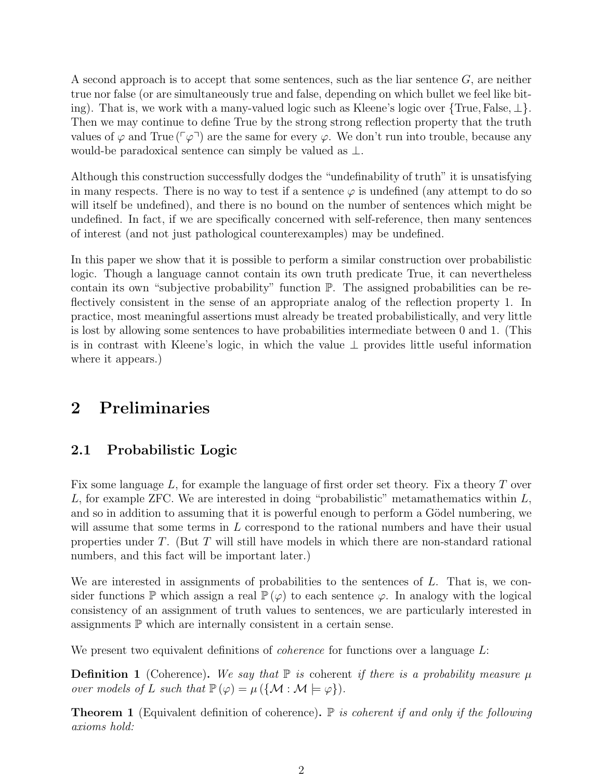A second approach is to accept that some sentences, such as the liar sentence  $G$ , are neither true nor false (or are simultaneously true and false, depending on which bullet we feel like biting). That is, we work with a many-valued logic such as Kleene's logic over {True, False, ⊥}. Then we may continue to define True by the strong strong reflection property that the truth values of  $\varphi$  and True ( $\lceil \varphi \rceil$ ) are the same for every  $\varphi$ . We don't run into trouble, because any would-be paradoxical sentence can simply be valued as  $\perp$ .

Although this construction successfully dodges the "undefinability of truth" it is unsatisfying in many respects. There is no way to test if a sentence  $\varphi$  is undefined (any attempt to do so will itself be undefined), and there is no bound on the number of sentences which might be undefined. In fact, if we are specifically concerned with self-reference, then many sentences of interest (and not just pathological counterexamples) may be undefined.

In this paper we show that it is possible to perform a similar construction over probabilistic logic. Though a language cannot contain its own truth predicate True, it can nevertheless contain its own "subjective probability" function P. The assigned probabilities can be reflectively consistent in the sense of an appropriate analog of the reflection property 1. In practice, most meaningful assertions must already be treated probabilistically, and very little is lost by allowing some sentences to have probabilities intermediate between 0 and 1. (This is in contrast with Kleene's logic, in which the value ⊥ provides little useful information where it appears.)

## 2 Preliminaries

## 2.1 Probabilistic Logic

Fix some language  $L$ , for example the language of first order set theory. Fix a theory T over L, for example ZFC. We are interested in doing "probabilistic" metamathematics within  $L$ , and so in addition to assuming that it is powerful enough to perform a Gödel numbering, we will assume that some terms in L correspond to the rational numbers and have their usual properties under T. (But T will still have models in which there are non-standard rational numbers, and this fact will be important later.)

We are interested in assignments of probabilities to the sentences of L. That is, we consider functions  $\mathbb P$  which assign a real  $\mathbb P(\varphi)$  to each sentence  $\varphi$ . In analogy with the logical consistency of an assignment of truth values to sentences, we are particularly interested in assignments  $\mathbb P$  which are internally consistent in a certain sense.

We present two equivalent definitions of *coherence* for functions over a language L:

**Definition 1** (Coherence). We say that  $\mathbb P$  is coherent if there is a probability measure  $\mu$ over models of L such that  $\mathbb{P}(\varphi) = \mu (\{\mathcal{M} : \mathcal{M} \models \varphi\}).$ 

**Theorem 1** (Equivalent definition of coherence).  $\mathbb P$  is coherent if and only if the following axioms hold: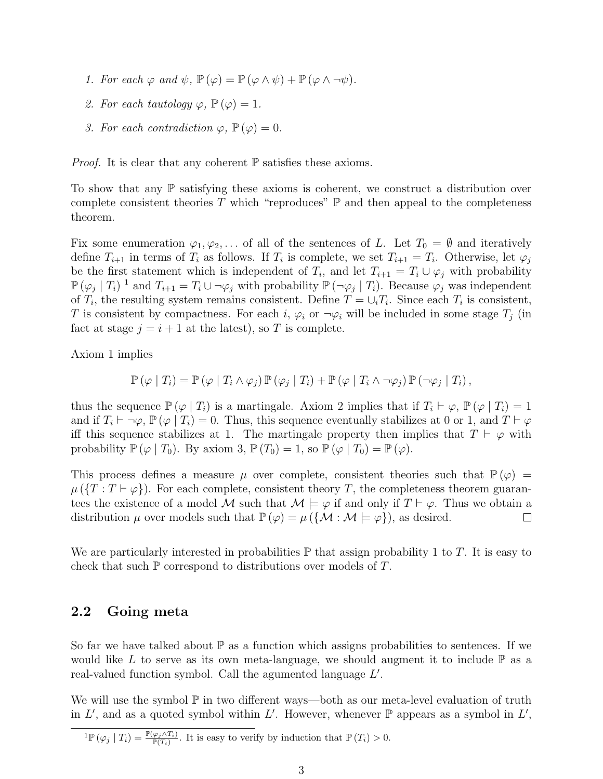- 1. For each  $\varphi$  and  $\psi$ ,  $\mathbb{P}(\varphi) = \mathbb{P}(\varphi \wedge \psi) + \mathbb{P}(\varphi \wedge \neg \psi)$ .
- 2. For each tautology  $\varphi$ ,  $\mathbb{P}(\varphi) = 1$ .
- 3. For each contradiction  $\varphi, \mathbb{P}(\varphi) = 0$ .

*Proof.* It is clear that any coherent  $\mathbb P$  satisfies these axioms.

To show that any  $\mathbb P$  satisfying these axioms is coherent, we construct a distribution over complete consistent theories T which "reproduces"  $\mathbb P$  and then appeal to the completeness theorem.

Fix some enumeration  $\varphi_1, \varphi_2, \ldots$  of all of the sentences of L. Let  $T_0 = \emptyset$  and iteratively define  $T_{i+1}$  in terms of  $T_i$  as follows. If  $T_i$  is complete, we set  $T_{i+1} = T_i$ . Otherwise, let  $\varphi_j$ be the first statement which is independent of  $T_i$ , and let  $T_{i+1} = T_i \cup \varphi_j$  with probability  $\mathbb{P}(\varphi_j | T_i)^{-1}$  and  $T_{i+1} = T_i \cup \neg \varphi_j$  with probability  $\mathbb{P}(\neg \varphi_j | T_i)$ . Because  $\varphi_j$  was independent of  $T_i$ , the resulting system remains consistent. Define  $T = \bigcup_i T_i$ . Since each  $T_i$  is consistent, T is consistent by compactness. For each i,  $\varphi_i$  or  $\neg \varphi_i$  will be included in some stage  $T_j$  (in fact at stage  $j = i + 1$  at the latest), so T is complete.

Axiom 1 implies

$$
\mathbb{P}(\varphi | T_i) = \mathbb{P}(\varphi | T_i \wedge \varphi_j) \mathbb{P}(\varphi_i | T_i) + \mathbb{P}(\varphi | T_i \wedge \neg \varphi_j) \mathbb{P}(\neg \varphi_i | T_i),
$$

thus the sequence  $\mathbb{P}(\varphi | T_i)$  is a martingale. Axiom 2 implies that if  $T_i \vdash \varphi, \mathbb{P}(\varphi | T_i) = 1$ and if  $T_i \vdash \neg \varphi$ ,  $\mathbb{P}(\varphi | T_i) = 0$ . Thus, this sequence eventually stabilizes at 0 or 1, and  $T \vdash \varphi$ iff this sequence stabilizes at 1. The martingale property then implies that  $T \vdash \varphi$  with probability  $\mathbb{P}(\varphi | T_0)$ . By axiom 3,  $\mathbb{P}(T_0) = 1$ , so  $\mathbb{P}(\varphi | T_0) = \mathbb{P}(\varphi)$ .

This process defines a measure  $\mu$  over complete, consistent theories such that  $\mathbb{P}(\varphi) =$  $\mu(\lbrace T : T \vdash \varphi \rbrace)$ . For each complete, consistent theory T, the completeness theorem guarantees the existence of a model M such that  $M \models \varphi$  if and only if  $T \vdash \varphi$ . Thus we obtain a distribution  $\mu$  over models such that  $\mathbb{P}(\varphi) = \mu({\mathcal{M} : \mathcal{M} \models \varphi})$ , as desired.  $\Box$ 

We are particularly interested in probabilities  $\mathbb P$  that assign probability 1 to T. It is easy to check that such  $\mathbb P$  correspond to distributions over models of  $T$ .

#### 2.2 Going meta

So far we have talked about  $\mathbb P$  as a function which assigns probabilities to sentences. If we would like L to serve as its own meta-language, we should augment it to include  $\mathbb P$  as a real-valued function symbol. Call the agumented language  $L'$ .

We will use the symbol  $\mathbb P$  in two different ways—both as our meta-level evaluation of truth in L', and as a quoted symbol within L'. However, whenever  $\mathbb P$  appears as a symbol in L',

 ${}^{1}\mathbb{P}(\varphi_{j} | T_{i}) = \frac{\mathbb{P}(\varphi_{j} \wedge T_{i})}{\mathbb{P}(T_{i})}$ . It is easy to verify by induction that  $\mathbb{P}(T_{i}) > 0$ .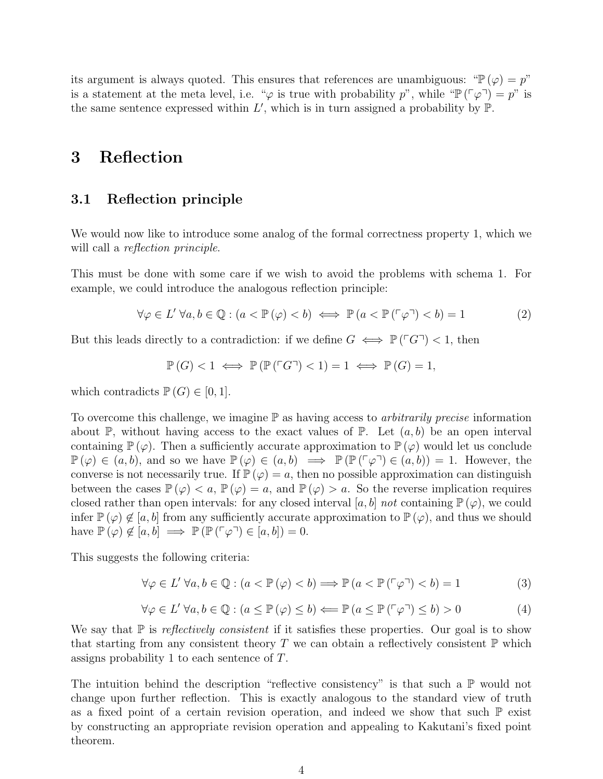its argument is always quoted. This ensures that references are unambiguous: " $\mathbb{P}(\varphi) = p$ " is a statement at the meta level, i.e. " $\varphi$  is true with probability p", while " $\mathbb{P}(\lceil \varphi \rceil) = p$ " is the same sentence expressed within  $L'$ , which is in turn assigned a probability by  $\mathbb{P}$ .

## 3 Reflection

#### 3.1 Reflection principle

We would now like to introduce some analog of the formal correctness property 1, which we will call a *reflection principle*.

This must be done with some care if we wish to avoid the problems with schema 1. For example, we could introduce the analogous reflection principle:

$$
\forall \varphi \in L' \,\forall a, b \in \mathbb{Q} : (a < \mathbb{P}(\varphi) < b) \iff \mathbb{P}(a < \mathbb{P}(\ulcorner \varphi \urcorner) < b) = 1 \tag{2}
$$

But this leads directly to a contradiction: if we define  $G \iff \mathbb{P}(\ulcorner G\urcorner) < 1$ , then

$$
\mathbb{P}(G) < 1 \iff \mathbb{P}(\mathbb{P}(\ulcorner G \urcorner) < 1) = 1 \iff \mathbb{P}(G) = 1,
$$

which contradicts  $\mathbb{P}(G) \in [0,1]$ .

To overcome this challenge, we imagine  $\mathbb P$  as having access to *arbitrarily precise* information about P, without having access to the exact values of P. Let  $(a, b)$  be an open interval containing  $\mathbb{P}(\varphi)$ . Then a sufficiently accurate approximation to  $\mathbb{P}(\varphi)$  would let us conclude  $\mathbb{P}(\varphi) \in (a, b)$ , and so we have  $\mathbb{P}(\varphi) \in (a, b) \implies \mathbb{P}(\mathbb{P}(\ulcorner \varphi \urcorner) \in (a, b)) = 1$ . However, the converse is not necessarily true. If  $\mathbb{P}(\varphi) = a$ , then no possible approximation can distinguish between the cases  $\mathbb{P}(\varphi) < a$ ,  $\mathbb{P}(\varphi) = a$ , and  $\mathbb{P}(\varphi) > a$ . So the reverse implication requires closed rather than open intervals: for any closed interval [a, b] not containing  $\mathbb{P}(\varphi)$ , we could infer  $\mathbb{P}(\varphi) \notin [a, b]$  from any sufficiently accurate approximation to  $\mathbb{P}(\varphi)$ , and thus we should have  $\mathbb{P}(\varphi) \notin [a, b] \implies \mathbb{P}(\mathbb{P}(\ulcorner \varphi \urcorner) \in [a, b]) = 0.$ 

This suggests the following criteria:

$$
\forall \varphi \in L' \,\forall a, b \in \mathbb{Q}: (a < \mathbb{P}\left(\varphi\right) < b) \Longrightarrow \mathbb{P}\left(a < \mathbb{P}\left(\ulcorner \varphi\urcorner\right) < b\right) = 1\tag{3}
$$

$$
\forall \varphi \in L' \,\forall a, b \in \mathbb{Q}: (a \le \mathbb{P}(\varphi) \le b) \Longleftarrow \mathbb{P}(a \le \mathbb{P}(\ulcorner \varphi \urcorner) \le b) > 0 \tag{4}
$$

We say that  $\mathbb P$  is *reflectively consistent* if it satisfies these properties. Our goal is to show that starting from any consistent theory T we can obtain a reflectively consistent  $\mathbb P$  which assigns probability 1 to each sentence of T.

The intuition behind the description "reflective consistency" is that such a  $\mathbb P$  would not change upon further reflection. This is exactly analogous to the standard view of truth as a fixed point of a certain revision operation, and indeed we show that such  $\mathbb P$  exist by constructing an appropriate revision operation and appealing to Kakutani's fixed point theorem.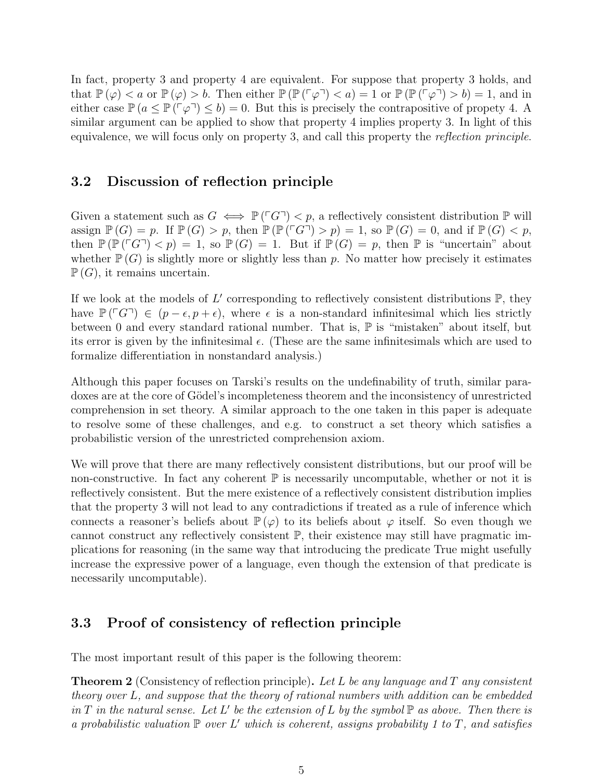In fact, property 3 and property 4 are equivalent. For suppose that property 3 holds, and that  $\mathbb{P}(\varphi) < a$  or  $\mathbb{P}(\varphi) > b$ . Then either  $\mathbb{P}(\mathbb{P}(\ulcorner \varphi \urcorner) < a) = 1$  or  $\mathbb{P}(\mathbb{P}(\ulcorner \varphi \urcorner) > b) = 1$ , and in either case  $\mathbb{P} (a \le \mathbb{P} (\ulcorner \varphi \urcorner) \le b) = 0$ . But this is precisely the contrapositive of propety 4. A similar argument can be applied to show that property 4 implies property 3. In light of this equivalence, we will focus only on property 3, and call this property the reflection principle.

#### 3.2 Discussion of reflection principle

Given a statement such as  $G \iff \mathbb{P}(\ulcorner G\urcorner) < p$ , a reflectively consistent distribution  $\mathbb{P}$  will assign  $\mathbb{P}(G) = p$ . If  $\mathbb{P}(G) > p$ , then  $\mathbb{P}(\mathbb{P}(TG^{-}) > p) = 1$ , so  $\mathbb{P}(G) = 0$ , and if  $\mathbb{P}(G) < p$ , then  $\mathbb{P}(\mathbb{P}(\ulcorner G\urcorner), so  $\mathbb{P}(G)=1$ . But if  $\mathbb{P}(G)=p$ , then  $\mathbb P$  is "uncertain" about$ whether  $\mathbb{P}(G)$  is slightly more or slightly less than p. No matter how precisely it estimates  $\mathbb{P}(G)$ , it remains uncertain.

If we look at the models of  $L'$  corresponding to reflectively consistent distributions  $\mathbb{P}$ , they have  $\mathbb{P}(\ulcorner G\urcorner) \in (p-\epsilon, p+\epsilon)$ , where  $\epsilon$  is a non-standard infinitesimal which lies strictly between 0 and every standard rational number. That is,  $\mathbb P$  is "mistaken" about itself, but its error is given by the infinitesimal  $\epsilon$ . (These are the same infinitesimals which are used to formalize differentiation in nonstandard analysis.)

Although this paper focuses on Tarski's results on the undefinability of truth, similar paradoxes are at the core of Gödel's incompleteness theorem and the inconsistency of unrestricted comprehension in set theory. A similar approach to the one taken in this paper is adequate to resolve some of these challenges, and e.g. to construct a set theory which satisfies a probabilistic version of the unrestricted comprehension axiom.

We will prove that there are many reflectively consistent distributions, but our proof will be non-constructive. In fact any coherent  $\mathbb P$  is necessarily uncomputable, whether or not it is reflectively consistent. But the mere existence of a reflectively consistent distribution implies that the property 3 will not lead to any contradictions if treated as a rule of inference which connects a reasoner's beliefs about  $\mathbb{P}(\varphi)$  to its beliefs about  $\varphi$  itself. So even though we cannot construct any reflectively consistent P, their existence may still have pragmatic implications for reasoning (in the same way that introducing the predicate True might usefully increase the expressive power of a language, even though the extension of that predicate is necessarily uncomputable).

### 3.3 Proof of consistency of reflection principle

The most important result of this paper is the following theorem:

**Theorem 2** (Consistency of reflection principle). Let L be any language and T any consistent theory over L, and suppose that the theory of rational numbers with addition can be embedded in T in the natural sense. Let L' be the extension of L by the symbol  $\mathbb P$  as above. Then there is a probabilistic valuation  $\mathbb P$  over L' which is coherent, assigns probability 1 to T, and satisfies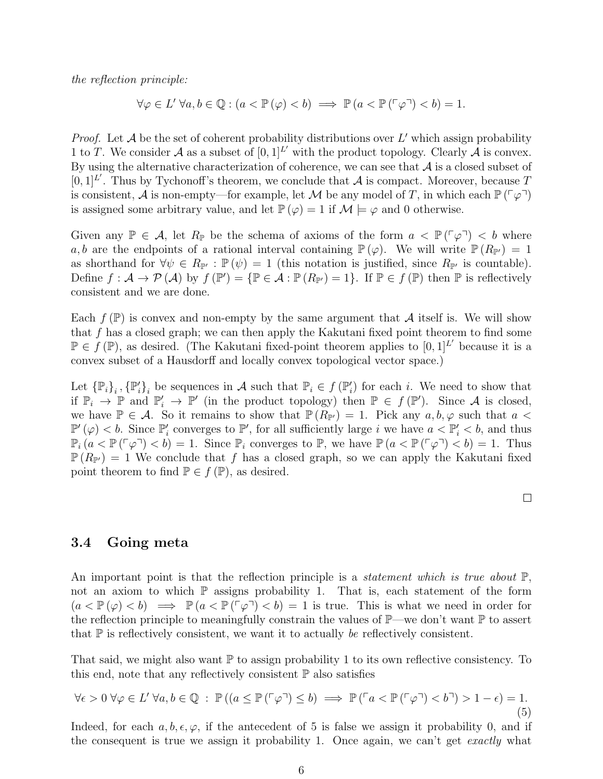the reflection principle:

$$
\forall \varphi \in L' \ \forall a, b \in \mathbb{Q} : (a < \mathbb{P}(\varphi) < b) \implies \mathbb{P}(a < \mathbb{P}(\ulcorner \varphi \urcorner) < b) = 1.
$$

*Proof.* Let  $A$  be the set of coherent probability distributions over  $L'$  which assign probability 1 to T. We consider A as a subset of  $[0,1]^{L'}$  with the product topology. Clearly A is convex. By using the alternative characterization of coherence, we can see that  $A$  is a closed subset of  $[0,1]^{L'}$ . Thus by Tychonoff's theorem, we conclude that A is compact. Moreover, because T is consistent, A is non-empty—for example, let M be any model of T, in which each  $\mathbb{P}(\lceil \varphi \rceil)$ is assigned some arbitrary value, and let  $\mathbb{P}(\varphi) = 1$  if  $\mathcal{M} \models \varphi$  and 0 otherwise.

Given any  $\mathbb{P} \in \mathcal{A}$ , let  $R_{\mathbb{P}}$  be the schema of axioms of the form  $a < \mathbb{P}(\lceil \varphi \rceil) < b$  where a, b are the endpoints of a rational interval containing  $\mathbb{P}(\varphi)$ . We will write  $\mathbb{P}(R_{\mathbb{P}}) = 1$ as shorthand for  $\forall \psi \in R_{\mathbb{P}'} : \mathbb{P}(\psi) = 1$  (this notation is justified, since  $R_{\mathbb{P}'}$  is countable). Define  $f: \mathcal{A} \to \mathcal{P}(\mathcal{A})$  by  $f(\mathbb{P}') = {\mathbb{P} \in \mathcal{A} : \mathbb{P}(R_{\mathbb{P}'}) = 1}.$  If  $\mathbb{P} \in f(\mathbb{P})$  then  $\mathbb P$  is reflectively consistent and we are done.

Each  $f(\mathbb{P})$  is convex and non-empty by the same argument that A itself is. We will show that  $f$  has a closed graph; we can then apply the Kakutani fixed point theorem to find some  $\mathbb{P} \in f(\mathbb{P})$ , as desired. (The Kakutani fixed-point theorem applies to  $[0,1]^{L'}$  because it is a convex subset of a Hausdorff and locally convex topological vector space.)

Let  $\{P_i\}_i$ ,  $\{P'_i\}_i$  be sequences in A such that  $P_i \in f(P'_i)$  for each i. We need to show that if  $\mathbb{P}_i \to \mathbb{P}$  and  $\mathbb{P}'_i \to \mathbb{P}'$  (in the product topology) then  $\mathbb{P} \in f(\mathbb{P}')$ . Since A is closed, we have  $\mathbb{P} \in \mathcal{A}$ . So it remains to show that  $\mathbb{P}(R_{\mathbb{P}'}) = 1$ . Pick any  $a, b, \varphi$  such that  $a <$  $\mathbb{P}'(\varphi) < b$ . Since  $\mathbb{P}'_i$  converges to  $\mathbb{P}'$ , for all sufficiently large i we have  $a < \mathbb{P}'_i < b$ , and thus  $\mathbb{P}_i (a < \mathbb{P}(\ulcorner \varphi \urcorner) < b) = 1$ . Since  $\mathbb{P}_i$  converges to  $\mathbb{P}_i$ , we have  $\mathbb{P}(a < \mathbb{P}(\ulcorner \varphi \urcorner) < b) = 1$ . Thus  $\mathbb{P}(R_{\mathbb{P}^{\prime}}) = 1$  We conclude that f has a closed graph, so we can apply the Kakutani fixed point theorem to find  $\mathbb{P} \in f(\mathbb{P})$ , as desired.

 $\Box$ 

#### 3.4 Going meta

An important point is that the reflection principle is a *statement which is true about*  $\mathbb{P}$ , not an axiom to which  $\mathbb P$  assigns probability 1. That is, each statement of the form  $(a < \mathbb{P}(\varphi) < b) \implies \mathbb{P}(a < \mathbb{P}(\lceil \varphi \rceil) < b) = 1$  is true. This is what we need in order for the reflection principle to meaningfully constrain the values of  $\mathbb{P}$ —we don't want  $\mathbb P$  to assert that  $\mathbb P$  is reflectively consistent, we want it to actually be reflectively consistent.

That said, we might also want  $\mathbb P$  to assign probability 1 to its own reflective consistency. To this end, note that any reflectively consistent  $\mathbb P$  also satisfies

$$
\forall \epsilon > 0 \ \forall \varphi \in L' \ \forall a, b \in \mathbb{Q} \ : \ \mathbb{P}((a \le \mathbb{P}(\ulcorner \varphi \urcorner) \le b) \implies \mathbb{P}(\ulcorner a < \mathbb{P}(\ulcorner \varphi \urcorner) < b \urcorner) > 1 - \epsilon) = 1. \tag{5}
$$

Indeed, for each  $a, b, \epsilon, \varphi$ , if the antecedent of 5 is false we assign it probability 0, and if the consequent is true we assign it probability 1. Once again, we can't get exactly what